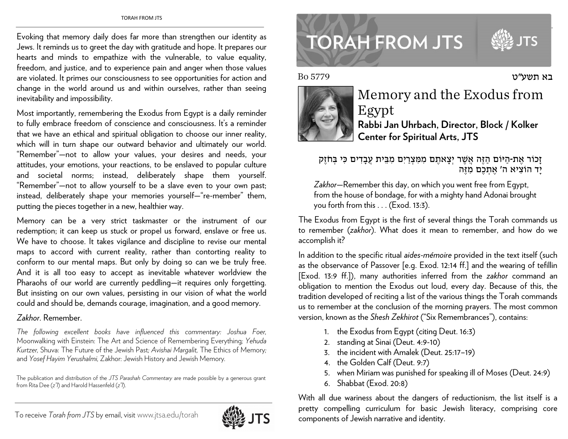Evoking that memory daily does far more than strengthen our identity as Jews. It reminds us to greet the day with gratitude and hope. It prepares our hearts and minds to empathize with the vulnerable, to value equality, freedom, and justice, and to experience pain and anger when those values are violated. It primes our consciousness to see opportunities for action and change in the world around us and within ourselves, rather than seeing inevitability and impossibility.

Most importantly, remembering the Exodus from Egypt is a daily reminder to fully embrace freedom of conscience and consciousness. It's a reminder that we have an ethical and spiritual obligation to choose our inner reality, which will in turn shape our outward behavior and ultimately our world. "Remember"—not to allow your values, your desires and needs, your attitudes, your emotions, your reactions, to be enslaved to popular culture and societal norms; instead, deliberately shape them yourself. "Remember"—not to allow yourself to be a slave even to your own past; instead, deliberately shape your memories yourself—"re-member" them, putting the pieces together in a new, healthier way.

Memory can be a very strict taskmaster or the instrument of our redemption; it can keep us stuck or propel us forward, enslave or free us. We have to choose. It takes vigilance and discipline to revise our mental maps to accord with current reality, rather than contorting reality to conform to our mental maps. But only by doing so can we be truly free. And it is all too easy to accept as inevitable whatever worldview the Pharaohs of our world are currently peddling—it requires only forgetting. But insisting on our own values, persisting in our vision of what the world could and should be, demands courage, imagination, and a good memory.

## *Zakhor*. Remember.

*The following excellent books have influenced this commentary: Joshua Foer,*  Moonwalking with Einstein: The Art and Science of Remembering Everything*; Yehuda Kurtzer,* Shuva: The Future of the Jewish Past*; Avishai Margalit,* The Ethics of Memory*;*  and *Yosef Hayim Yerushalmi,* Zakhor: Jewish History and Jewish Memory*.*

The publication and distribution of the *JTS Parashah Commentary* are made possible by a generous grant from Rita Dee (*z"l*) and Harold Hassenfeld (*z"l*).

## **TORAH FROM JTS**

בא תשע"ט

Bo 5779



## Memory and the Exodus from Egypt **Rabbi Jan Uhrbach, Director, Block / Kolker Center for Spiritual Arts, JTS**

זָכוֹר אֶת-הַיּוֹם הַזֶּה אֲשֶׁר יְצָאתֶם מִמִּצְרַיִם מִבֵּית עֲבָדִים כִּי בְּחֹזֶק יָד הוֹצִיא ה' אֶתְכֶם מִזֶּה

*Zakhor*—Remember this day, on which you went free from Egypt, from the house of bondage, for with a mighty hand Adonai brought you forth from this . . . (Exod. 13:3).

The Exodus from Egypt is the first of several things the Torah commands us to remember (*zakhor*). What does it mean to remember, and how do we accomplish it?

In addition to the specific ritual *aides-mémoire* provided in the text itself (such as the observance of Passover [e.g. Exod. 12:14 ff.] and the wearing of tefillin [Exod. 13:9 ff.]), many authorities inferred from the *zakhor* command an obligation to mention the Exodus out loud, every day. Because of this, the tradition developed of reciting a list of the various things the Torah commands us to remember at the conclusion of the morning prayers. The most common version, known as the *Shesh Zekhirot* ("Six Remembrances"), contains:

- 1. the Exodus from Egypt (citing Deut. 16:3)
- 2. standing at Sinai (Deut. 4:9-10)
- 3. the incident with Amalek (Deut. 25:17–19)
- 4. the Golden Calf (Deut. 9:7)
- 5. when Miriam was punished for speaking ill of Moses (Deut. 24:9)
- 6. Shabbat (Exod. 20:8)

With all due wariness about the dangers of reductionism, the list itself is a pretty compelling curriculum for basic Jewish literacy, comprising core components of Jewish narrative and identity.